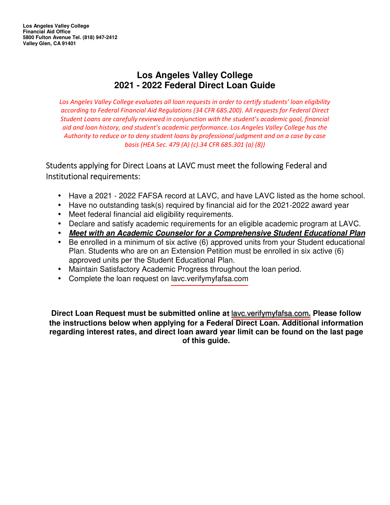## **Los Angeles Valley College 2021 - 2022 Federal Direct Loan Guide**

*Los Angeles Valley College evaluates all loan requests in order to certify students' loan eligibility according to Federal Financial Aid Regulations (34 CFR 685.200). All requests for Federal Direct Student Loans are carefully reviewed in conjunction with the student's academic goal, financial aid and loan history, and student's academic performance. Los Angeles Valley College has the Authority to reduce or to deny student loans by professional judgment and on a case by case basis (HEA Sec. 479 (A) (c).34 CFR 685.301 (a) (8))*

## Students applying for Direct Loans at LAVC must meet the following Federal and Institutional requirements:

- Have a 2021 2022 FAFSA record at LAVC, and have LAVC listed as the home school.
- Have no outstanding task(s) required by financial aid for the 2021-2022 award year
- Meet federal financial aid eligibility requirements.
- Declare and satisfy academic requirements for an eligible academic program at LAVC.
- **Meet with an Academic Counselor for a Comprehensive Student Educational Plan**
- Be enrolled in a minimum of six active (6) approved units from your Student educational Plan. Students who are on an Extension Petition must be enrolled in six active (6) approved units per the Student Educational Plan.
- Maintain Satisfactory Academic Progress throughout the loan period.
- Complete the loan request o[n lavc.verifymyfafsa.com](https://sso.laccd.edu/adfs/ls/?wa=wsignin1.0&wtrealm=https%3a%2f%2fadfs.verifymyfafsa.com%2fadfs%2fservices%2ftrust&wctx=ad13cdb1-687e-4130-af50-a0675954d7e2&whr=http%3a%2f%2fsso.laccd.edu%2fadfs%2fservices%2ftrust)

**Direct Loan Request must be submitted online at** [lavc.verifymyfafsa.com](https://sso.laccd.edu/adfs/ls/?wa=wsignin1.0&wtrealm=https%3a%2f%2fadfs.verifymyfafsa.com%2fadfs%2fservices%2ftrust&wctx=ad13cdb1-687e-4130-af50-a0675954d7e2&whr=http%3a%2f%2fsso.laccd.edu%2fadfs%2fservices%2ftrust)**. Please follow the instructions below when applying for a Federal Direct Loan. Additional information regarding interest rates, and direct loan award year limit can be found on the last page of this guide.**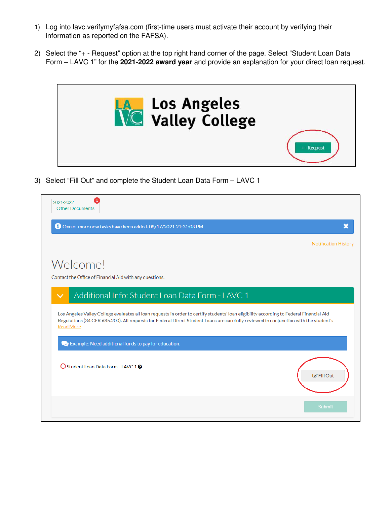- 1) Log into lavc.verifymyfafsa.com (first-time users must activate their account by verifying their information as reported on the FAFSA).
- 2) Select the "+ Request" option at the top right hand corner of the page. Select "Student Loan Data Form – LAVC 1" for the **2021-2022 award year** and provide an explanation for your direct loan request.



3) Select "Fill Out" and complete the Student Loan Data Form – LAVC 1

| 2021-2022<br><b>Other Documents</b>                                                                                                                                                                                                                                                                  |                             |
|------------------------------------------------------------------------------------------------------------------------------------------------------------------------------------------------------------------------------------------------------------------------------------------------------|-----------------------------|
| O One or more new tasks have been added. 08/17/2021 21:31:08 PM                                                                                                                                                                                                                                      |                             |
|                                                                                                                                                                                                                                                                                                      | <b>Notification History</b> |
| Welcome!                                                                                                                                                                                                                                                                                             |                             |
| Contact the Office of Financial Aid with any questions.                                                                                                                                                                                                                                              |                             |
| Additional Info: Student Loan Data Form - LAVC 1<br>$\checkmark$                                                                                                                                                                                                                                     |                             |
| Los Angeles Valley College evaluates all loan requests in order to certify students' loan eligibility according to Federal Financial Aid<br>Regulations (34 CFR 685.200). All requests for Federal Direct Student Loans are carefully reviewed in conjunction with the student's<br><b>Read More</b> |                             |
| Sexample: Need additional funds to pay for education.                                                                                                                                                                                                                                                |                             |
| ○ Student Loan Data Form - LAVC 1 ?                                                                                                                                                                                                                                                                  | $\mathbb{Z}$ Fill Out       |
|                                                                                                                                                                                                                                                                                                      | <b>Submit</b>               |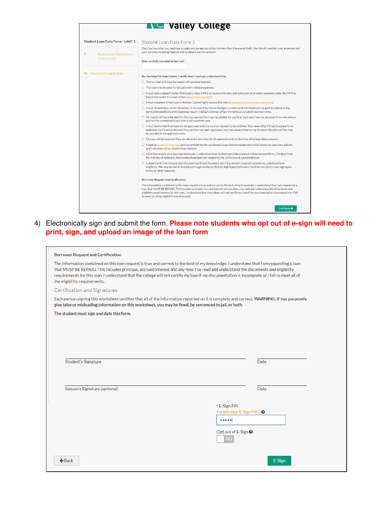|                                                | <b>WG Valley College</b>                                                                                                                                                                                                                                                                                                                                                                                                                                          |
|------------------------------------------------|-------------------------------------------------------------------------------------------------------------------------------------------------------------------------------------------------------------------------------------------------------------------------------------------------------------------------------------------------------------------------------------------------------------------------------------------------------------------|
| <b>Student Loan Data Form - LAVC 1</b>         | Student Loan Data Form 1                                                                                                                                                                                                                                                                                                                                                                                                                                          |
| ⋗<br>Student Loan Data Form 1<br>Review & Sign | Only borrow what you need (we strongly encourage you to borrow less than the annual limit). You should consider your expenses and<br>your income (including financial aid) to determine this amount.<br>How much do you need to borrow?                                                                                                                                                                                                                           |
| <b>Return to Student Tasks</b>                 | By checking the boxes below, I certify that I read and understand that:                                                                                                                                                                                                                                                                                                                                                                                           |
|                                                | $\Box$ This is a loan and must be repaid with accrued interest.                                                                                                                                                                                                                                                                                                                                                                                                   |
|                                                | $\Box$ This loan is to be used for educationally related expenses.                                                                                                                                                                                                                                                                                                                                                                                                |
|                                                | □ I must have a signed Master Promissory Note (MPN) to receive this loan, and collection of all debts acquired under this MPN is<br>fully enforceable in a court of law (studentaid, gov/mpn).                                                                                                                                                                                                                                                                    |
|                                                | □ I must complete Direct Loan Entrance Counseling to receive this loan (studentaid,gov/entrance-counseling).                                                                                                                                                                                                                                                                                                                                                      |
|                                                | □ I must immediately notify the holder of my loan if my status changes. I understand that failure on my part to adhere to the<br>terms and conditions of my loan may result in default and may affect my rights as a student loan borrower.                                                                                                                                                                                                                       |
|                                                | $\Box$ My loan(s) will be originated for the loan period that I may be eligible for and that the loan(s) may be prorated if my educational<br>goal will be completed in less than a full academic year.                                                                                                                                                                                                                                                           |
|                                                | $\Box$ I must be enrolled in at least six (6) approved units for my loan request to be certified. This means that if I had to appeal for an<br>extension for Financial Aid and if my petition has been approved, only the classes listed on my Student Educational Plan may<br>be counted in the approved units.                                                                                                                                                  |
|                                                | $\Box$ My loan will be canceled if my enrollment is less than six (6) approved units at the time of my loan disbursement.                                                                                                                                                                                                                                                                                                                                         |
|                                                | □ I went to studentaid,gov/asIa and completed the Annual Student Loan Acknowledgement which shows my past loan activity<br>and I am aware of my student loan balance.                                                                                                                                                                                                                                                                                             |
|                                                | $\Box$ NEW Borrowers: As a new loan borrower, I understand that my first loan disbursement will be delayed thirty (30) days from<br>the first day of semester. And I understand that I am subject to the 150% rule of subsidized loan.                                                                                                                                                                                                                            |
|                                                | □ I understand I may be awarded Unsubsidized Direct Student Loan if the amount I request exceeds my subsidized Ioan<br>eligibility. This may be due to Subsidized Usage limitation (SULA), high Expected Family Contribution (EFC), loan aggregate<br>limits, or other reason(s).                                                                                                                                                                                 |
|                                                | <b>Borrower Request and Certification</b>                                                                                                                                                                                                                                                                                                                                                                                                                         |
|                                                | The information contained on this loan request is true and correct to the best of my knowledge. I understand that I am requesting a<br>loan that MUST BE REPAID. This includes principal, accrued interest and any fees. I've read and understand the documents and<br>eligibility requirements for this loan. I understand that the college will not certify my loan if my documentation is incomplete or I fail<br>to meet all of the eligibility requirements. |
|                                                | Continue $\rightarrow$                                                                                                                                                                                                                                                                                                                                                                                                                                            |

4) Electronically sign and submit the form. **Please note students who opt out of e-sign will need to print, sign, and upload an image of the loan form**

| <b>Borrower Request and Certification</b>                                                                                                                                                                                                                                                                                                                                                                                                                         |                                                                               |
|-------------------------------------------------------------------------------------------------------------------------------------------------------------------------------------------------------------------------------------------------------------------------------------------------------------------------------------------------------------------------------------------------------------------------------------------------------------------|-------------------------------------------------------------------------------|
| The information contained on this loan request is true and correct to the best of my knowledge. I understand that I am requesting a loan<br>that MUST BE REPAID. This includes principal, accrued interest and any fees. I've read and understand the documents and eligibility<br>requirements for this loan. I understand that the college will not certify my loan if my documentation is incomplete or I fail to meet all of<br>the eligibility requirements. |                                                                               |
| Certification and Signatures                                                                                                                                                                                                                                                                                                                                                                                                                                      |                                                                               |
| Each person signing this worksheet certifies that all of the information reported on it is complete and correct. WARNING: If you purposely<br>give false or misleading information on this worksheet, you may be fined, be sentenced to jail, or both.                                                                                                                                                                                                            |                                                                               |
| The student must sign and date this form.                                                                                                                                                                                                                                                                                                                                                                                                                         |                                                                               |
|                                                                                                                                                                                                                                                                                                                                                                                                                                                                   |                                                                               |
|                                                                                                                                                                                                                                                                                                                                                                                                                                                                   |                                                                               |
|                                                                                                                                                                                                                                                                                                                                                                                                                                                                   |                                                                               |
|                                                                                                                                                                                                                                                                                                                                                                                                                                                                   |                                                                               |
| <b>Student's Signature</b>                                                                                                                                                                                                                                                                                                                                                                                                                                        | Date                                                                          |
|                                                                                                                                                                                                                                                                                                                                                                                                                                                                   |                                                                               |
|                                                                                                                                                                                                                                                                                                                                                                                                                                                                   |                                                                               |
| Spouse's Signature (optional)                                                                                                                                                                                                                                                                                                                                                                                                                                     | Date                                                                          |
|                                                                                                                                                                                                                                                                                                                                                                                                                                                                   |                                                                               |
|                                                                                                                                                                                                                                                                                                                                                                                                                                                                   | * E-Sign PIN                                                                  |
|                                                                                                                                                                                                                                                                                                                                                                                                                                                                   | Forgot your E-Sign PIN? <sup>O</sup><br>$\bullet\bullet\bullet\bullet\bullet$ |
|                                                                                                                                                                                                                                                                                                                                                                                                                                                                   | Opt out of E-Sign <sup>●</sup><br><b>NO</b>                                   |
| $\leftarrow$ Back                                                                                                                                                                                                                                                                                                                                                                                                                                                 | E-Sign                                                                        |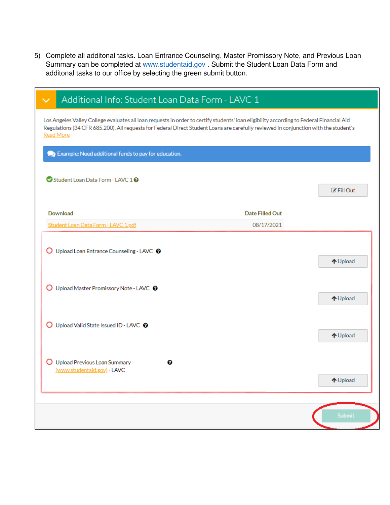5) Complete all additonal tasks. Loan Entrance Counseling, Master Promissory Note, and Previous Loan Summary can be completed at [www.studentaid.gov](https://studentaid.gov/) . Submit the Student Loan Data Form and additonal tasks to our office by selecting the green submit button.

| Additional Info: Student Loan Data Form - LAVC 1                                                                                                                                                                                                                                                     |                 |                      |
|------------------------------------------------------------------------------------------------------------------------------------------------------------------------------------------------------------------------------------------------------------------------------------------------------|-----------------|----------------------|
| Los Angeles Valley College evaluates all loan requests in order to certify students' loan eligibility according to Federal Financial Aid<br>Regulations (34 CFR 685.200). All requests for Federal Direct Student Loans are carefully reviewed in conjunction with the student's<br><b>Read More</b> |                 |                      |
| Example: Need additional funds to pay for education.                                                                                                                                                                                                                                                 |                 |                      |
| Student Loan Data Form - LAVC 10                                                                                                                                                                                                                                                                     |                 | $\mathbb Z$ Fill Out |
| Download                                                                                                                                                                                                                                                                                             | Date Filled Out |                      |
| Student Loan Data Form - LAVC 1.pdf                                                                                                                                                                                                                                                                  | 08/17/2021      |                      |
| O Upload Loan Entrance Counseling - LAVC <sup>O</sup>                                                                                                                                                                                                                                                |                 | ↑ Upload             |
| O Upload Master Promissory Note - LAVC <sup>O</sup>                                                                                                                                                                                                                                                  |                 | ↑ Upload             |
| O Upload Valid State Issued ID - LAVC @                                                                                                                                                                                                                                                              |                 | ↑ Upload             |
| O Upload Previous Loan Summary<br>๏<br>(www.studentaid.gov) - LAVC                                                                                                                                                                                                                                   |                 | ↑ Upload             |
|                                                                                                                                                                                                                                                                                                      |                 | <b>Submit</b>        |